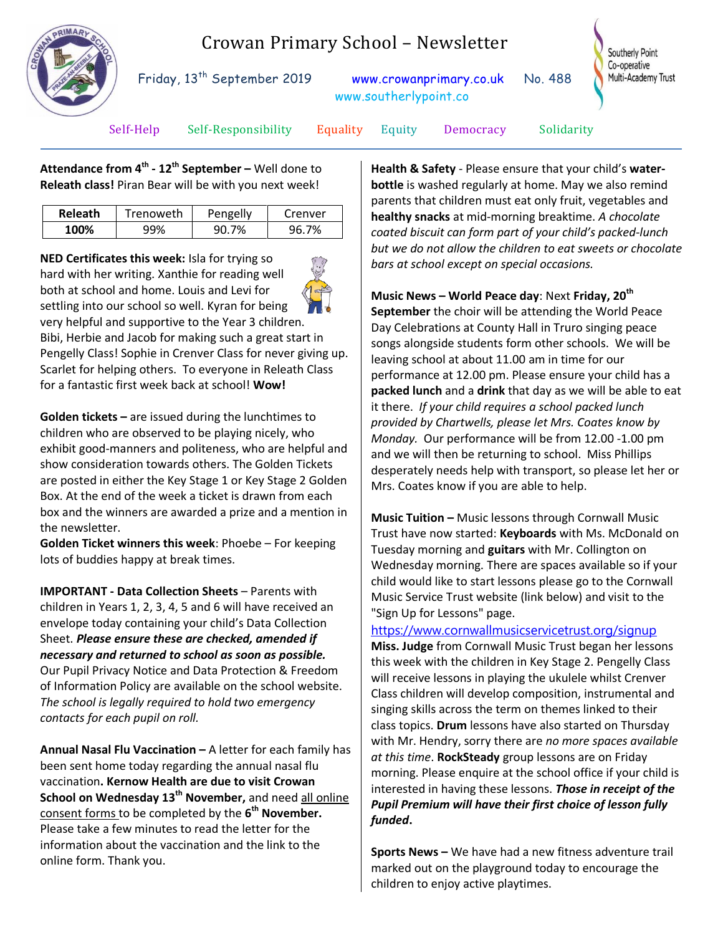

# Crowan Primary School – Newsletter

Friday, 13<sup>th</sup> September 2019 [www.crowanprimary.co.uk](http://www.crowanprimary.co.uk/) No. 488 www.southerlypoint.co

Southerly Point Co-operative Multi-Academy Trust

Self-Help Self-Responsibility Equality Equity Democracy Solidarity

**Attendance from 4th - 12th September –** Well done to **Releath class!** Piran Bear will be with you next week!

| Releath | Trenoweth | Pengelly | Crenver |
|---------|-----------|----------|---------|
| 100%    |           | 7%       |         |

**NED Certificates this week:** Isla for trying so hard with her writing. Xanthie for reading well both at school and home. Louis and Levi for settling into our school so well. Kyran for being very helpful and supportive to the Year 3 children. Bibi, Herbie and Jacob for making such a great start in Pengelly Class! Sophie in Crenver Class for never giving up. Scarlet for helping others.To everyone in Releath Class for a fantastic first week back at school! **Wow!**

**Golden tickets –** are issued during the lunchtimes to children who are observed to be playing nicely, who exhibit good-manners and politeness, who are helpful and show consideration towards others. The Golden Tickets are posted in either the Key Stage 1 or Key Stage 2 Golden Box. At the end of the week a ticket is drawn from each box and the winners are awarded a prize and a mention in the newsletter.

**Golden Ticket winners this week**: Phoebe – For keeping lots of buddies happy at break times.

**IMPORTANT - Data Collection Sheets** – Parents with children in Years 1, 2, 3, 4, 5 and 6 will have received an envelope today containing your child's Data Collection Sheet. *Please ensure these are checked, amended if necessary and returned to school as soon as possible.*  Our Pupil Privacy Notice and Data Protection & Freedom of Information Policy are available on the school website. *The school is legally required to hold two emergency contacts for each pupil on roll.*

**Annual Nasal Flu Vaccination –** A letter for each family has been sent home today regarding the annual nasal flu vaccination**. Kernow Health are due to visit Crowan School on Wednesday 13th November,** and need all online consent forms to be completed by the **6 th November.** Please take a few minutes to read the letter for the information about the vaccination and the link to the online form. Thank you.

**Health & Safety** - Please ensure that your child's **waterbottle** is washed regularly at home. May we also remind parents that children must eat only fruit, vegetables and **healthy snacks** at mid-morning breaktime. *A chocolate coated biscuit can form part of your child's packed-lunch but we do not allow the children to eat sweets or chocolate bars at school except on special occasions.*

**Music News – World Peace day**: Next **Friday, 20th September** the choir will be attending the World Peace Day Celebrations at County Hall in Truro singing peace songs alongside students form other schools. We will be leaving school at about 11.00 am in time for our performance at 12.00 pm. Please ensure your child has a **packed lunch** and a **drink** that day as we will be able to eat it there. *If your child requires a school packed lunch provided by Chartwells, please let Mrs. Coates know by Monday.* Our performance will be from 12.00 -1.00 pm and we will then be returning to school. Miss Phillips desperately needs help with transport, so please let her or Mrs. Coates know if you are able to help.

**Music Tuition –** Music lessons through Cornwall Music Trust have now started: **Keyboards** with Ms. McDonald on Tuesday morning and **guitars** with Mr. Collington on Wednesday morning. There are spaces available so if your child would like to start lessons please go to the Cornwall Music Service Trust website (link below) and visit to the "Sign Up for Lessons" page.

## [https://www.cornwallmusicservicetrust.org/signup](http://url850.paritormail.com/wf/click?upn=LVdcXUbv6RODZy2WVlfmwLuGx-2Ba-2B1wD52yNj0pC8bZambZwTNZlSgHUATZ6wmCCrZMGG-2Bl14NoAEVPaNMyrsJg-3D-3D_qkCSuVgeXXYW-2BDx5q8xQm2df0FyggzcLaUMhUfeu8CiFvyblyXaJJDoBDHK-2Bcw-2BdVbezmDiCpCGML-2FLcpJhqK7eSj5vGWS1ISjWKCKg0VMOgBKOnToIkyjLZI9D9XqZWuAY33H8XkB6SRHcJEBrB8VW1qNOwHG57lGJim-2FRYul4UjhI3Xakuc0p-2F6cv5ET70161VMl-2BKxZvGKjwcexu-2BK1Qk196tsGRRrT-2FXAPuPVNsqxiEOG9HG4LTIEIz4Z9qpxHxhQl6xCnNpRK8kE37EzLo8PYQ5FssFFpdOmS7Pj4oq8HucfU-2F1D0pn76iVcEWOIRCnDsdLc1TUDDvl-2BZlq55nheao7pm5Y9A8Ob5XXZTk-3D)

**Miss. Judge** from Cornwall Music Trust began her lessons this week with the children in Key Stage 2. Pengelly Class will receive lessons in playing the ukulele whilst Crenver Class children will develop composition, instrumental and singing skills across the term on themes linked to their class topics. **Drum** lessons have also started on Thursday with Mr. Hendry, sorry there are *no more spaces available at this time*. **RockSteady** group lessons are on Friday morning. Please enquire at the school office if your child is interested in having these lessons. *Those in receipt of the Pupil Premium will have their first choice of lesson fully funded***.**

**Sports News –** We have had a new fitness adventure trail marked out on the playground today to encourage the children to enjoy active playtimes.